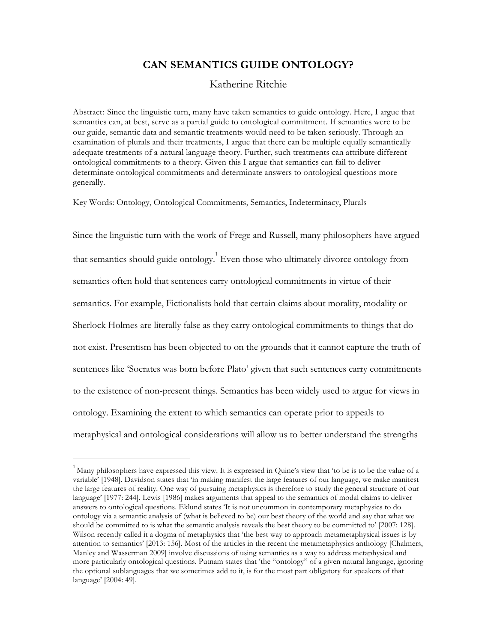# **CAN SEMANTICS GUIDE ONTOLOGY?**

## Katherine Ritchie

Abstract:Since the linguistic turn, many have taken semantics to guide ontology. Here, I argue that semantics can, at best, serve as a partial guide to ontological commitment. If semantics were to be our guide, semantic data and semantic treatments would need to be taken seriously. Through an examination of plurals and their treatments, I argue that there can be multiple equally semantically adequate treatments of a natural language theory. Further, such treatments can attribute different ontological commitments to a theory. Given this I argue that semantics can fail to deliver determinate ontological commitments and determinate answers to ontological questions more generally.

Key Words: Ontology, Ontological Commitments, Semantics, Indeterminacy, Plurals

Since the linguistic turn with the work of Frege and Russell, many philosophers have argued that semantics should guide ontology.<sup>1</sup> Even those who ultimately divorce ontology from semantics often hold that sentences carry ontological commitments in virtue of their semantics. For example, Fictionalists hold that certain claims about morality, modality or Sherlock Holmes are literally false as they carry ontological commitments to things that do not exist. Presentism has been objected to on the grounds that it cannot capture the truth of sentences like 'Socrates was born before Plato' given that such sentences carry commitments to the existence of non-present things. Semantics has been widely used to argue for views in ontology. Examining the extent to which semantics can operate prior to appeals to metaphysical and ontological considerations will allow us to better understand the strengths

 $1$  Many philosophers have expressed this view. It is expressed in Quine's view that 'to be is to be the value of a variable' [1948]. Davidson states that 'in making manifest the large features of our language, we make manifest the large features of reality. One way of pursuing metaphysics is therefore to study the general structure of our language' [1977: 244]. Lewis [1986] makes arguments that appeal to the semantics of modal claims to deliver answers to ontological questions. Eklund states 'It is not uncommon in contemporary metaphysics to do ontology via a semantic analysis of (what is believed to be) our best theory of the world and say that what we should be committed to is what the semantic analysis reveals the best theory to be committed to' [2007: 128]. Wilson recently called it a dogma of metaphysics that 'the best way to approach metametaphysical issues is by attention to semantics' [2013: 156]. Most of the articles in the recent the metametaphysics anthology [Chalmers, Manley and Wasserman 2009] involve discussions of using semantics as a way to address metaphysical and more particularly ontological questions. Putnam states that 'the "ontology" of a given natural language, ignoring the optional sublanguages that we sometimes add to it, is for the most part obligatory for speakers of that language' [2004: 49].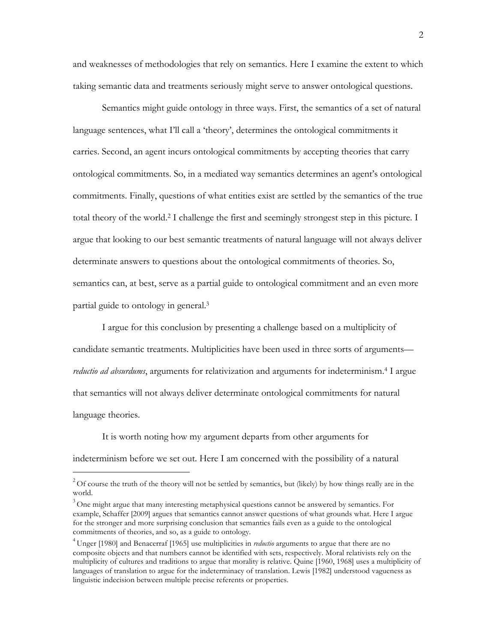and weaknesses of methodologies that rely on semantics. Here I examine the extent to which taking semantic data and treatments seriously might serve to answer ontological questions.

Semantics might guide ontology in three ways. First, the semantics of a set of natural language sentences, what I'll call a 'theory', determines the ontological commitments it carries. Second, an agent incurs ontological commitments by accepting theories that carry ontological commitments. So, in a mediated way semantics determines an agent's ontological commitments. Finally, questions of what entities exist are settled by the semantics of the true total theory of the world. <sup>2</sup> I challenge the first and seemingly strongest step in this picture. I argue that looking to our best semantic treatments of natural language will not always deliver determinate answers to questions about the ontological commitments of theories. So, semantics can, at best, serve as a partial guide to ontological commitment and an even more partial guide to ontology in general. 3

I argue for this conclusion by presenting a challenge based on a multiplicity of candidate semantic treatments. Multiplicities have been used in three sorts of arguments–– *reductio ad absurdums*, arguments for relativization and arguments for indeterminism.4 I argue that semantics will not always deliver determinate ontological commitments for natural language theories.

It is worth noting how my argument departs from other arguments for indeterminism before we set out. Here I am concerned with the possibility of a natural

 $2^2$ Of course the truth of the theory will not be settled by semantics, but (likely) by how things really are in the world.

 $3$  One might argue that many interesting metaphysical questions cannot be answered by semantics. For example, Schaffer [2009] argues that semantics cannot answer questions of what grounds what. Here I argue for the stronger and more surprising conclusion that semantics fails even as a guide to the ontological commitments of theories, and so, as a guide to ontology.

<sup>4</sup> Unger [1980] and Benacerraf [1965] use multiplicities in *reductio* arguments to argue that there are no composite objects and that numbers cannot be identified with sets, respectively. Moral relativists rely on the multiplicity of cultures and traditions to argue that morality is relative. Quine [1960, 1968] uses a multiplicity of languages of translation to argue for the indeterminacy of translation. Lewis [1982] understood vagueness as linguistic indecision between multiple precise referents or properties.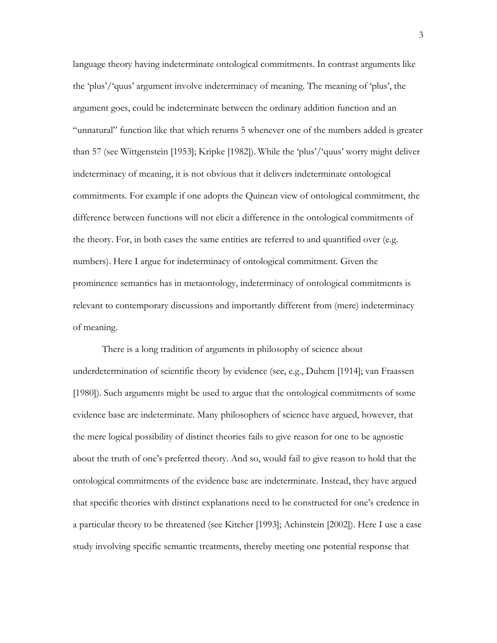language theory having indeterminate ontological commitments. In contrast arguments like the 'plus'/'quus' argument involve indeterminacy of meaning. The meaning of 'plus', the argument goes, could be indeterminate between the ordinary addition function and an "unnatural" function like that which returns 5 whenever one of the numbers added is greater than 57 (see Wittgenstein [1953]; Kripke [1982]). While the 'plus'/'quus' worry might deliver indeterminacy of meaning, it is not obvious that it delivers indeterminate ontological commitments. For example if one adopts the Quinean view of ontological commitment, the difference between functions will not elicit a difference in the ontological commitments of the theory. For, in both cases the same entities are referred to and quantified over (e.g. numbers). Here I argue for indeterminacy of ontological commitment. Given the prominence semantics has in metaontology, indeterminacy of ontological commitments is relevant to contemporary discussions and importantly different from (mere) indeterminacy of meaning.

There is a long tradition of arguments in philosophy of science about underdetermination of scientific theory by evidence (see, e.g., Duhem [1914]; van Fraassen [1980]). Such arguments might be used to argue that the ontological commitments of some evidence base are indeterminate. Many philosophers of science have argued, however, that the mere logical possibility of distinct theories fails to give reason for one to be agnostic about the truth of one's preferred theory. And so, would fail to give reason to hold that the ontological commitments of the evidence base are indeterminate. Instead, they have argued that specific theories with distinct explanations need to be constructed for one's credence in a particular theory to be threatened (see Kitcher [1993]; Achinstein [2002]). Here I use a case study involving specific semantic treatments, thereby meeting one potential response that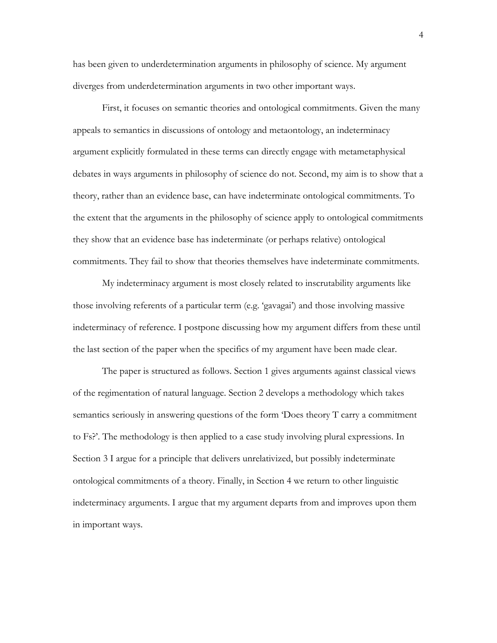has been given to underdetermination arguments in philosophy of science. My argument diverges from underdetermination arguments in two other important ways.

First, it focuses on semantic theories and ontological commitments. Given the many appeals to semantics in discussions of ontology and metaontology, an indeterminacy argument explicitly formulated in these terms can directly engage with metametaphysical debates in ways arguments in philosophy of science do not. Second, my aim is to show that a theory, rather than an evidence base, can have indeterminate ontological commitments. To the extent that the arguments in the philosophy of science apply to ontological commitments they show that an evidence base has indeterminate (or perhaps relative) ontological commitments. They fail to show that theories themselves have indeterminate commitments.

My indeterminacy argument is most closely related to inscrutability arguments like those involving referents of a particular term (e.g. 'gavagai') and those involving massive indeterminacy of reference. I postpone discussing how my argument differs from these until the last section of the paper when the specifics of my argument have been made clear.

The paper is structured as follows. Section 1 gives arguments against classical views of the regimentation of natural language. Section 2 develops a methodology which takes semantics seriously in answering questions of the form 'Does theory T carry a commitment to Fs?'. The methodology is then applied to a case study involving plural expressions. In Section 3 I argue for a principle that delivers unrelativized, but possibly indeterminate ontological commitments of a theory. Finally, in Section 4 we return to other linguistic indeterminacy arguments. I argue that my argument departs from and improves upon them in important ways.

4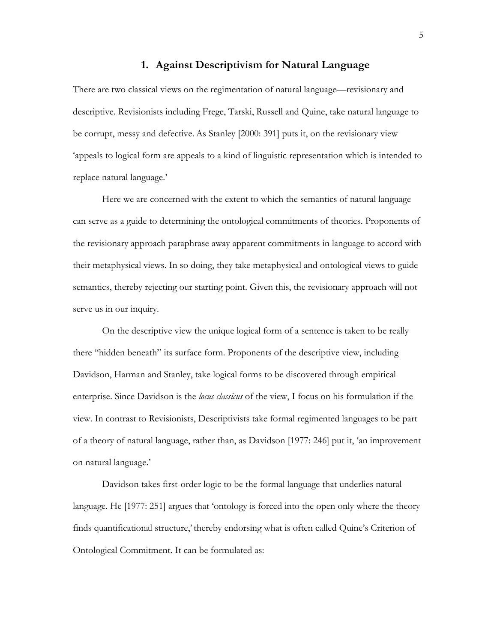#### **1. Against Descriptivism for Natural Language**

There are two classical views on the regimentation of natural language––revisionary and descriptive. Revisionists including Frege, Tarski, Russell and Quine, take natural language to be corrupt, messy and defective.As Stanley [2000: 391] puts it, on the revisionary view 'appeals to logical form are appeals to a kind of linguistic representation which is intended to replace natural language.'

Here we are concerned with the extent to which the semantics of natural language can serve as a guide to determining the ontological commitments of theories. Proponents of the revisionary approach paraphrase away apparent commitments in language to accord with their metaphysical views. In so doing, they take metaphysical and ontological views to guide semantics, thereby rejecting our starting point. Given this, the revisionary approach will not serve us in our inquiry.

On the descriptive view the unique logical form of a sentence is taken to be really there "hidden beneath" its surface form. Proponents of the descriptive view, including Davidson, Harman and Stanley, take logical forms to be discovered through empirical enterprise. Since Davidson is the *locus classicus* of the view, I focus on his formulation if the view. In contrast to Revisionists, Descriptivists take formal regimented languages to be part of a theory of natural language, rather than, as Davidson [1977: 246] put it, 'an improvement on natural language.'

Davidson takes first-order logic to be the formal language that underlies natural language. He [1977: 251] argues that 'ontology is forced into the open only where the theory finds quantificational structure,'thereby endorsing what is often called Quine's Criterion of Ontological Commitment. It can be formulated as: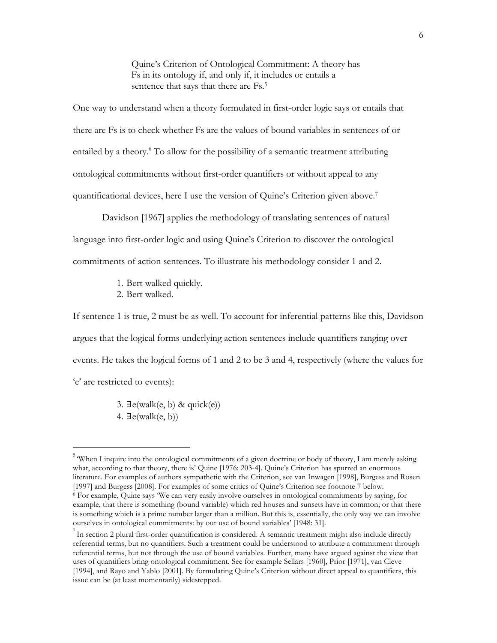Quine's Criterion of Ontological Commitment: A theory has Fs in its ontology if, and only if, it includes or entails a sentence that says that there are Fs.5

One way to understand when a theory formulated in first-order logic says or entails that there are Fs is to check whether Fs are the values of bound variables in sentences of or entailed by a theory.<sup>6</sup> To allow for the possibility of a semantic treatment attributing ontological commitments without first-order quantifiers or without appeal to any quantificational devices, here I use the version of Quine's Criterion given above. 7

Davidson [1967] applies the methodology of translating sentences of natural language into first-order logic and using Quine's Criterion to discover the ontological commitments of action sentences. To illustrate his methodology consider 1 and 2.

- 1. Bert walked quickly.
- 2. Bert walked.

 $\overline{a}$ 

If sentence 1 is true, 2 must be as well. To account for inferential patterns like this, Davidson argues that the logical forms underlying action sentences include quantifiers ranging over events. He takes the logical forms of 1 and 2 to be 3 and 4, respectively (where the values for 'e' are restricted to events):

> 3.  $\exists$ e(walk(e, b) & quick(e)) 4.  $\exists$ e(walk(e, b))

<sup>&</sup>lt;sup>5</sup> When I inquire into the ontological commitments of a given doctrine or body of theory, I am merely asking what, according to that theory, there is' Quine [1976: 203-4]. Quine's Criterion has spurred an enormous literature. For examples of authors sympathetic with the Criterion, see van Inwagen [1998], Burgess and Rosen [1997] and Burgess [2008]. For examples of some critics of Quine's Criterion see footnote 7 below.

<sup>6</sup> For example, Quine says 'We can very easily involve ourselves in ontological commitments by saying, for example, that there is something (bound variable) which red houses and sunsets have in common; or that there is something which is a prime number larger than a million. But this is, essentially, the only way we can involve ourselves in ontological commitments: by our use of bound variables' [1948: 31].

 $^{7}$  In section 2 plural first-order quantification is considered. A semantic treatment might also include directly referential terms, but no quantifiers. Such a treatment could be understood to attribute a commitment through referential terms, but not through the use of bound variables. Further, many have argued against the view that uses of quantifiers bring ontological commitment. See for example Sellars [1960], Prior [1971], van Cleve [1994], and Rayo and Yablo [2001]. By formulating Quine's Criterion without direct appeal to quantifiers, this issue can be (at least momentarily) sidestepped.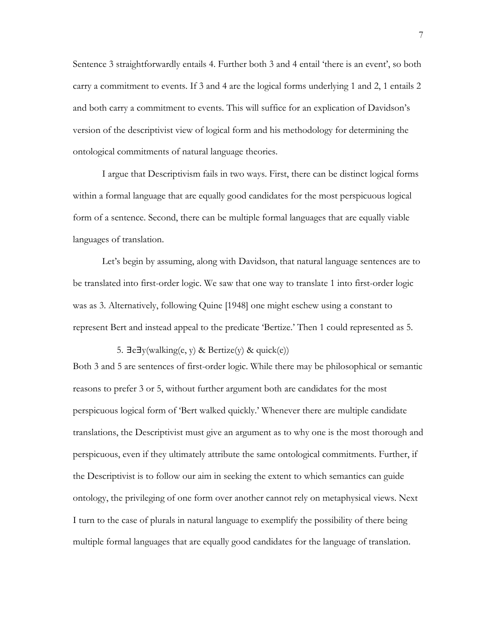Sentence 3 straightforwardly entails 4. Further both 3 and 4 entail 'there is an event', so both carry a commitment to events. If 3 and 4 are the logical forms underlying 1 and 2, 1 entails 2 and both carry a commitment to events. This will suffice for an explication of Davidson's version of the descriptivist view of logical form and his methodology for determining the ontological commitments of natural language theories.

I argue that Descriptivism fails in two ways. First, there can be distinct logical forms within a formal language that are equally good candidates for the most perspicuous logical form of a sentence. Second, there can be multiple formal languages that are equally viable languages of translation.

Let's begin by assuming, along with Davidson, that natural language sentences are to be translated into first-order logic. We saw that one way to translate 1 into first-order logic was as 3. Alternatively, following Quine [1948] one might eschew using a constant to represent Bert and instead appeal to the predicate 'Bertize.' Then 1 could represented as 5.

5. ∃e∃y(walking(e, y) & Bertize(y) & quick(e))

Both 3 and 5 are sentences of first-order logic. While there may be philosophical or semantic reasons to prefer 3 or 5, without further argument both are candidates for the most perspicuous logical form of 'Bert walked quickly.' Whenever there are multiple candidate translations, the Descriptivist must give an argument as to why one is the most thorough and perspicuous, even if they ultimately attribute the same ontological commitments. Further, if the Descriptivist is to follow our aim in seeking the extent to which semantics can guide ontology, the privileging of one form over another cannot rely on metaphysical views. Next I turn to the case of plurals in natural language to exemplify the possibility of there being multiple formal languages that are equally good candidates for the language of translation.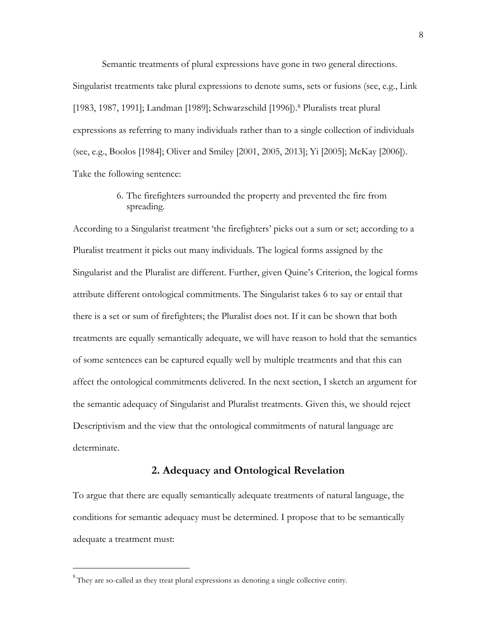Semantic treatments of plural expressions have gone in two general directions. Singularist treatments take plural expressions to denote sums, sets or fusions (see, e.g., Link [1983, 1987, 1991]; Landman [1989]; Schwarzschild [1996]). <sup>8</sup> Pluralists treat plural expressions as referring to many individuals rather than to a single collection of individuals (see, e.g., Boolos [1984]; Oliver and Smiley [2001, 2005, 2013]; Yi [2005]; McKay [2006]). Take the following sentence:

### 6. The firefighters surrounded the property and prevented the fire from spreading.

According to a Singularist treatment 'the firefighters' picks out a sum or set; according to a Pluralist treatment it picks out many individuals. The logical forms assigned by the Singularist and the Pluralist are different. Further, given Quine's Criterion, the logical forms attribute different ontological commitments. The Singularist takes 6 to say or entail that there is a set or sum of firefighters; the Pluralist does not. If it can be shown that both treatments are equally semantically adequate, we will have reason to hold that the semantics of some sentences can be captured equally well by multiple treatments and that this can affect the ontological commitments delivered. In the next section, I sketch an argument for the semantic adequacy of Singularist and Pluralist treatments. Given this, we should reject Descriptivism and the view that the ontological commitments of natural language are determinate.

### **2. Adequacy and Ontological Revelation**

To argue that there are equally semantically adequate treatments of natural language, the conditions for semantic adequacy must be determined. I propose that to be semantically adequate a treatment must:

 $8$ They are so-called as they treat plural expressions as denoting a single collective entity.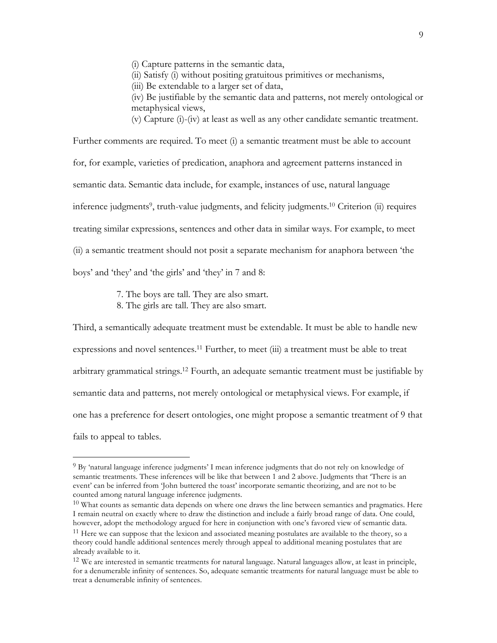(i) Capture patterns in the semantic data,

(ii) Satisfy (i) without positing gratuitous primitives or mechanisms,

(iii) Be extendable to a larger set of data,

(iv) Be justifiable by the semantic data and patterns, not merely ontological or metaphysical views,

(v) Capture (i)-(iv) at least as well as any other candidate semantic treatment.

Further comments are required. To meet (i) a semantic treatment must be able to account for, for example, varieties of predication, anaphora and agreement patterns instanced in semantic data. Semantic data include, for example, instances of use, natural language inference judgments<sup>9</sup>, truth-value judgments, and felicity judgments.<sup>10</sup> Criterion (ii) requires treating similar expressions, sentences and other data in similar ways. For example, to meet (ii) a semantic treatment should not posit a separate mechanism for anaphora between 'the boys' and 'they' and 'the girls' and 'they' in 7 and 8:

7. The boys are tall. They are also smart.

8. The girls are tall. They are also smart.

 $\overline{a}$ 

Third, a semantically adequate treatment must be extendable. It must be able to handle new expressions and novel sentences.<sup>11</sup> Further, to meet (iii) a treatment must be able to treat arbitrary grammatical strings.12 Fourth, an adequate semantic treatment must be justifiable by semantic data and patterns, not merely ontological or metaphysical views. For example, if one has a preference for desert ontologies, one might propose a semantic treatment of 9 that fails to appeal to tables.

<sup>9</sup> By 'natural language inference judgments' I mean inference judgments that do not rely on knowledge of semantic treatments. These inferences will be like that between 1 and 2 above. Judgments that 'There is an event' can be inferred from 'John buttered the toast' incorporate semantic theorizing, and are not to be counted among natural language inference judgments.

 $10$  What counts as semantic data depends on where one draws the line between semantics and pragmatics. Here I remain neutral on exactly where to draw the distinction and include a fairly broad range of data. One could, however, adopt the methodology argued for here in conjunction with one's favored view of semantic data.

<sup>&</sup>lt;sup>11</sup> Here we can suppose that the lexicon and associated meaning postulates are available to the theory, so a theory could handle additional sentences merely through appeal to additional meaning postulates that are already available to it.

<sup>&</sup>lt;sup>12</sup> We are interested in semantic treatments for natural language. Natural languages allow, at least in principle, for a denumerable infinity of sentences. So, adequate semantic treatments for natural language must be able to treat a denumerable infinity of sentences.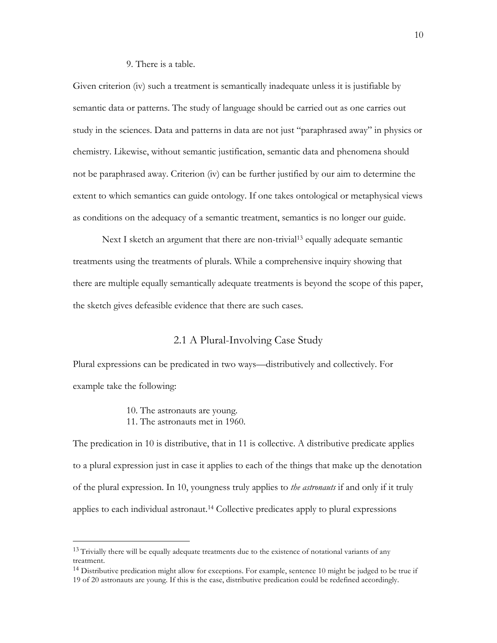#### 9. There is a table.

Given criterion (iv) such a treatment is semantically inadequate unless it is justifiable by semantic data or patterns. The study of language should be carried out as one carries out study in the sciences. Data and patterns in data are not just "paraphrased away" in physics or chemistry. Likewise, without semantic justification, semantic data and phenomena should not be paraphrased away. Criterion (iv) can be further justified by our aim to determine the extent to which semantics can guide ontology. If one takes ontological or metaphysical views as conditions on the adequacy of a semantic treatment, semantics is no longer our guide.

Next I sketch an argument that there are non-trivial<sup>13</sup> equally adequate semantic treatments using the treatments of plurals. While a comprehensive inquiry showing that there are multiple equally semantically adequate treatments is beyond the scope of this paper, the sketch gives defeasible evidence that there are such cases.

### 2.1 A Plural-Involving Case Study

Plural expressions can be predicated in two ways––distributively and collectively. For example take the following:

> 10. The astronauts are young. 11. The astronauts met in 1960.

 $\overline{a}$ 

The predication in 10 is distributive, that in 11 is collective. A distributive predicate applies to a plural expression just in case it applies to each of the things that make up the denotation of the plural expression. In 10, youngness truly applies to *the astronauts* if and only if it truly applies to each individual astronaut.14 Collective predicates apply to plural expressions

<sup>&</sup>lt;sup>13</sup> Trivially there will be equally adequate treatments due to the existence of notational variants of any treatment.

<sup>&</sup>lt;sup>14</sup> Distributive predication might allow for exceptions. For example, sentence 10 might be judged to be true if 19 of 20 astronauts are young. If this is the case, distributive predication could be redefined accordingly.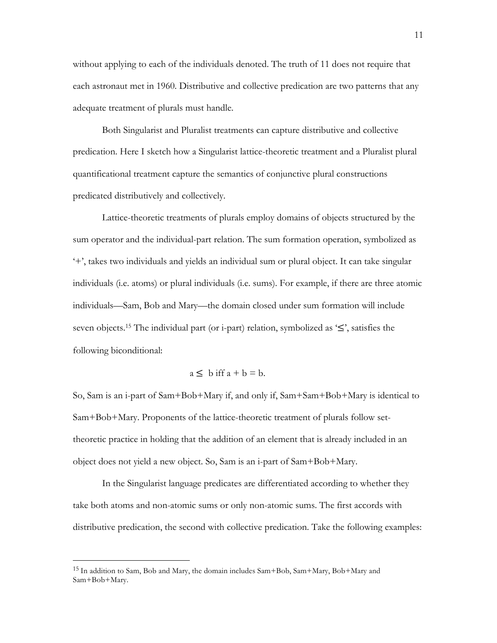without applying to each of the individuals denoted. The truth of 11 does not require that each astronaut met in 1960. Distributive and collective predication are two patterns that any adequate treatment of plurals must handle.

Both Singularist and Pluralist treatments can capture distributive and collective predication. Here I sketch how a Singularist lattice-theoretic treatment and a Pluralist plural quantificational treatment capture the semantics of conjunctive plural constructions predicated distributively and collectively.

Lattice-theoretic treatments of plurals employ domains of objects structured by the sum operator and the individual-part relation. The sum formation operation, symbolized as '+', takes two individuals and yields an individual sum or plural object. It can take singular individuals (i.e. atoms) or plural individuals (i.e. sums). For example, if there are three atomic individuals––Sam, Bob and Mary––the domain closed under sum formation will include seven objects.15 The individual part (or i-part) relation, symbolized as '≤', satisfies the following biconditional:

$$
a \leq b \text{ iff } a + b = b.
$$

So, Sam is an i-part of Sam+Bob+Mary if, and only if, Sam+Sam+Bob+Mary is identical to Sam+Bob+Mary. Proponents of the lattice-theoretic treatment of plurals follow settheoretic practice in holding that the addition of an element that is already included in an object does not yield a new object. So, Sam is an i-part of Sam+Bob+Mary.

In the Singularist language predicates are differentiated according to whether they take both atoms and non-atomic sums or only non-atomic sums. The first accords with distributive predication, the second with collective predication. Take the following examples:

<sup>15</sup> In addition to Sam, Bob and Mary, the domain includes Sam+Bob, Sam+Mary, Bob+Mary and Sam+Bob+Mary.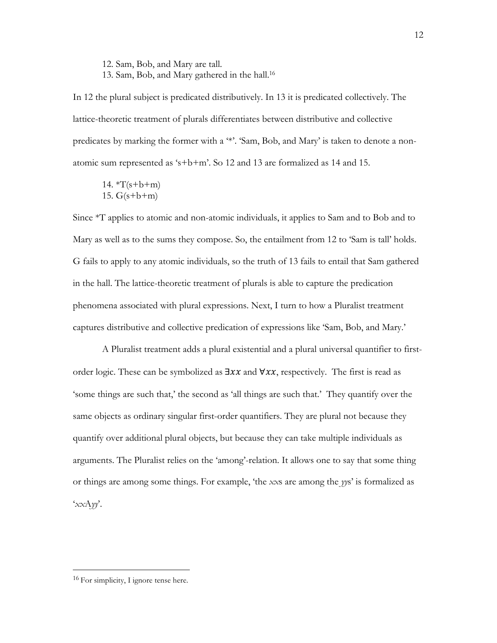12. Sam, Bob, and Mary are tall. 13. Sam, Bob, and Mary gathered in the hall.16

In 12 the plural subject is predicated distributively. In 13 it is predicated collectively. The lattice-theoretic treatment of plurals differentiates between distributive and collective predicates by marking the former with a '\*'. 'Sam, Bob, and Mary' is taken to denote a nonatomic sum represented as 's+b+m'. So 12 and 13 are formalized as 14 and 15.

14.  $*T(s+b+m)$ 15.  $G(s+b+m)$ 

Since \*T applies to atomic and non-atomic individuals, it applies to Sam and to Bob and to Mary as well as to the sums they compose. So, the entailment from 12 to 'Sam is tall' holds. G fails to apply to any atomic individuals, so the truth of 13 fails to entail that Sam gathered in the hall. The lattice-theoretic treatment of plurals is able to capture the predication phenomena associated with plural expressions. Next, I turn to how a Pluralist treatment captures distributive and collective predication of expressions like 'Sam, Bob, and Mary.'

A Pluralist treatment adds a plural existential and a plural universal quantifier to firstorder logic. These can be symbolized as  $\exists x \, x$  and  $\forall x \, x$ , respectively. The first is read as 'some things are such that,' the second as 'all things are such that.' They quantify over the same objects as ordinary singular first-order quantifiers. They are plural not because they quantify over additional plural objects, but because they can take multiple individuals as arguments. The Pluralist relies on the 'among'-relation. It allows one to say that some thing or things are among some things. For example, 'the *xx*s are among the *yy*s' is formalized as '*xx*A*yy*'.

<sup>&</sup>lt;sup>16</sup> For simplicity, I ignore tense here.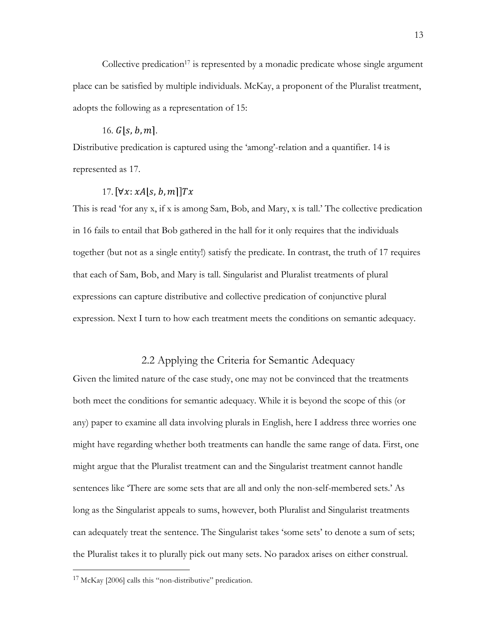Collective predication<sup>17</sup> is represented by a monadic predicate whose single argument place can be satisfied by multiple individuals. McKay, a proponent of the Pluralist treatment, adopts the following as a representation of 15:

#### 16.  $G[s, b, m]$ .

Distributive predication is captured using the 'among'-relation and a quantifier. 14 is represented as 17.

### 17.  $[\forall x: xA | s, b, m]$   $Tx$

This is read 'for any x, if x is among Sam, Bob, and Mary, x is tall.' The collective predication in 16 fails to entail that Bob gathered in the hall for it only requires that the individuals together (but not as a single entity!) satisfy the predicate. In contrast, the truth of 17 requires that each of Sam, Bob, and Mary is tall. Singularist and Pluralist treatments of plural expressions can capture distributive and collective predication of conjunctive plural expression. Next I turn to how each treatment meets the conditions on semantic adequacy.

### 2.2 Applying the Criteria for Semantic Adequacy

Given the limited nature of the case study, one may not be convinced that the treatments both meet the conditions for semantic adequacy. While it is beyond the scope of this (or any) paper to examine all data involving plurals in English, here I address three worries one might have regarding whether both treatments can handle the same range of data. First, one might argue that the Pluralist treatment can and the Singularist treatment cannot handle sentences like 'There are some sets that are all and only the non-self-membered sets.' As long as the Singularist appeals to sums, however, both Pluralist and Singularist treatments can adequately treat the sentence. The Singularist takes 'some sets' to denote a sum of sets; the Pluralist takes it to plurally pick out many sets. No paradox arises on either construal.

<sup>17</sup> McKay [2006] calls this "non-distributive" predication.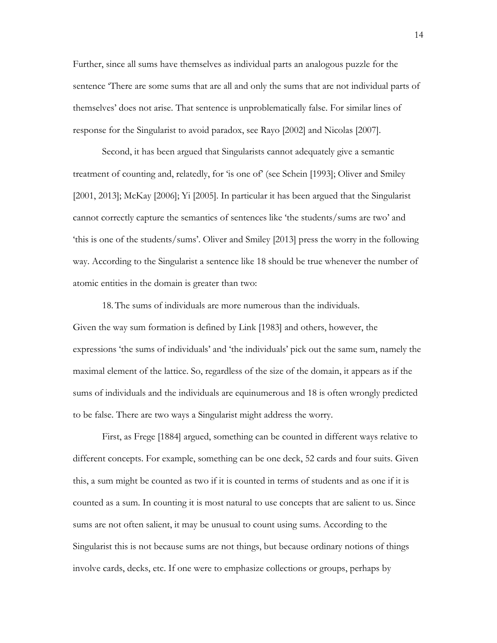Further, since all sums have themselves as individual parts an analogous puzzle for the sentence 'There are some sums that are all and only the sums that are not individual parts of themselves' does not arise. That sentence is unproblematically false. For similar lines of response for the Singularist to avoid paradox, see Rayo [2002] and Nicolas [2007].

Second, it has been argued that Singularists cannot adequately give a semantic treatment of counting and, relatedly, for 'is one of' (see Schein [1993]; Oliver and Smiley [2001, 2013]; McKay [2006]; Yi [2005]. In particular it has been argued that the Singularist cannot correctly capture the semantics of sentences like 'the students/sums are two' and 'this is one of the students/sums'. Oliver and Smiley [2013] press the worry in the following way. According to the Singularist a sentence like 18 should be true whenever the number of atomic entities in the domain is greater than two:

18.The sums of individuals are more numerous than the individuals. Given the way sum formation is defined by Link [1983] and others, however, the expressions 'the sums of individuals' and 'the individuals' pick out the same sum, namely the maximal element of the lattice. So, regardless of the size of the domain, it appears as if the sums of individuals and the individuals are equinumerous and 18 is often wrongly predicted to be false. There are two ways a Singularist might address the worry.

First, as Frege [1884] argued, something can be counted in different ways relative to different concepts. For example, something can be one deck, 52 cards and four suits. Given this, a sum might be counted as two if it is counted in terms of students and as one if it is counted as a sum. In counting it is most natural to use concepts that are salient to us. Since sums are not often salient, it may be unusual to count using sums. According to the Singularist this is not because sums are not things, but because ordinary notions of things involve cards, decks, etc. If one were to emphasize collections or groups, perhaps by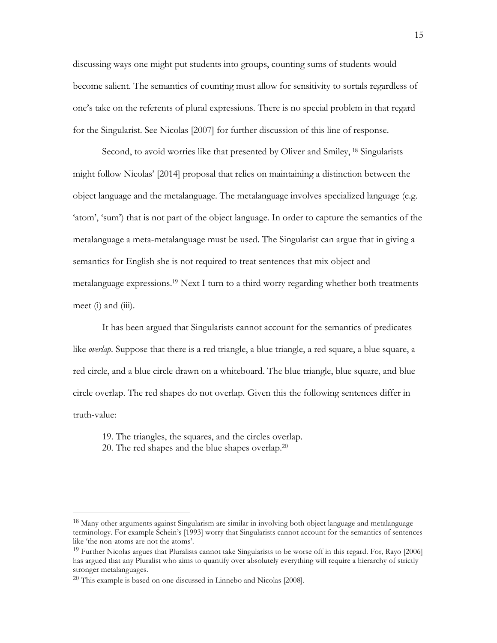discussing ways one might put students into groups, counting sums of students would become salient. The semantics of counting must allow for sensitivity to sortals regardless of one's take on the referents of plural expressions. There is no special problem in that regard for the Singularist. See Nicolas [2007] for further discussion of this line of response.

Second, to avoid worries like that presented by Oliver and Smiley, <sup>18</sup> Singularists might follow Nicolas' [2014] proposal that relies on maintaining a distinction between the object language and the metalanguage. The metalanguage involves specialized language (e.g. 'atom', 'sum') that is not part of the object language. In order to capture the semantics of the metalanguage a meta-metalanguage must be used. The Singularist can argue that in giving a semantics for English she is not required to treat sentences that mix object and metalanguage expressions.19 Next I turn to a third worry regarding whether both treatments meet (i) and (iii).

It has been argued that Singularists cannot account for the semantics of predicates like *overlap*. Suppose that there is a red triangle, a blue triangle, a red square, a blue square, a red circle, and a blue circle drawn on a whiteboard. The blue triangle, blue square, and blue circle overlap. The red shapes do not overlap. Given this the following sentences differ in truth-value:

19. The triangles, the squares, and the circles overlap.

20. The red shapes and the blue shapes overlap.20

<sup>18</sup> Many other arguments against Singularism are similar in involving both object language and metalanguage terminology. For example Schein's [1993] worry that Singularists cannot account for the semantics of sentences like 'the non-atoms are not the atoms'.

<sup>&</sup>lt;sup>19</sup> Further Nicolas argues that Pluralists cannot take Singularists to be worse off in this regard. For, Rayo [2006] has argued that any Pluralist who aims to quantify over absolutely everything will require a hierarchy of strictly stronger metalanguages.

<sup>20</sup> This example is based on one discussed in Linnebo and Nicolas [2008].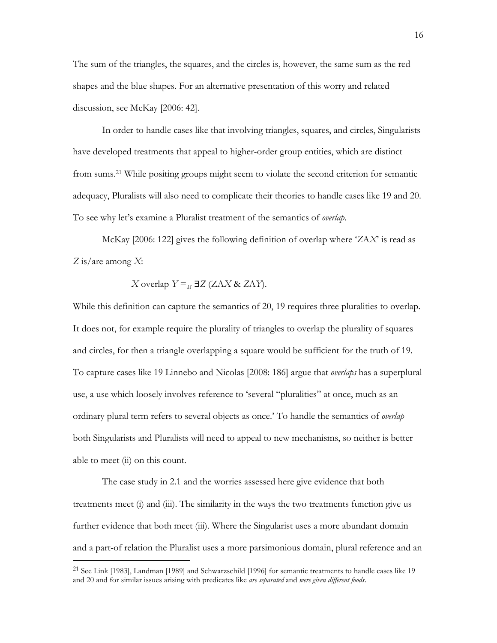The sum of the triangles, the squares, and the circles is, however, the same sum as the red shapes and the blue shapes. For an alternative presentation of this worry and related discussion, see McKay [2006: 42].

In order to handle cases like that involving triangles, squares, and circles, Singularists have developed treatments that appeal to higher-order group entities, which are distinct from sums.<sup>21</sup> While positing groups might seem to violate the second criterion for semantic adequacy, Pluralists will also need to complicate their theories to handle cases like 19 and 20. To see why let's examine a Pluralist treatment of the semantics of *overlap*.

McKay [2006: 122] gives the following definition of overlap where '*Z*A*X*' is read as *Z* is/are among *X*:

X overlap 
$$
Y =_{df} \exists Z (ZAX \& ZAY)
$$
.

While this definition can capture the semantics of 20, 19 requires three pluralities to overlap. It does not, for example require the plurality of triangles to overlap the plurality of squares and circles, for then a triangle overlapping a square would be sufficient for the truth of 19. To capture cases like 19 Linnebo and Nicolas [2008: 186] argue that *overlaps* has a superplural use, a use which loosely involves reference to 'several "pluralities" at once, much as an ordinary plural term refers to several objects as once.' To handle the semantics of *overlap*  both Singularists and Pluralists will need to appeal to new mechanisms, so neither is better able to meet (ii) on this count.

The case study in 2.1 and the worries assessed here give evidence that both treatments meet (i) and (iii). The similarity in the ways the two treatments function give us further evidence that both meet (iii). Where the Singularist uses a more abundant domain and a part-of relation the Pluralist uses a more parsimonious domain, plural reference and an

<sup>&</sup>lt;sup>21</sup> See Link [1983], Landman [1989] and Schwarzschild [1996] for semantic treatments to handle cases like 19 and 20 and for similar issues arising with predicates like *are separated* and *were given different foods*.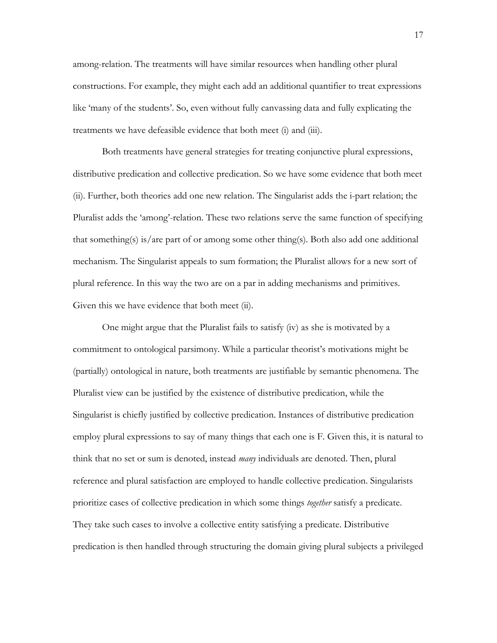among-relation. The treatments will have similar resources when handling other plural constructions. For example, they might each add an additional quantifier to treat expressions like 'many of the students'. So, even without fully canvassing data and fully explicating the treatments we have defeasible evidence that both meet (i) and (iii).

Both treatments have general strategies for treating conjunctive plural expressions, distributive predication and collective predication. So we have some evidence that both meet (ii). Further, both theories add one new relation. The Singularist adds the i-part relation; the Pluralist adds the 'among'-relation. These two relations serve the same function of specifying that something(s) is/are part of or among some other thing(s). Both also add one additional mechanism. The Singularist appeals to sum formation; the Pluralist allows for a new sort of plural reference. In this way the two are on a par in adding mechanisms and primitives. Given this we have evidence that both meet (ii).

One might argue that the Pluralist fails to satisfy (iv) as she is motivated by a commitment to ontological parsimony. While a particular theorist's motivations might be (partially) ontological in nature, both treatments are justifiable by semantic phenomena. The Pluralist view can be justified by the existence of distributive predication, while the Singularist is chiefly justified by collective predication. Instances of distributive predication employ plural expressions to say of many things that each one is F. Given this, it is natural to think that no set or sum is denoted, instead *many* individuals are denoted. Then, plural reference and plural satisfaction are employed to handle collective predication. Singularists prioritize cases of collective predication in which some things *together* satisfy a predicate. They take such cases to involve a collective entity satisfying a predicate. Distributive predication is then handled through structuring the domain giving plural subjects a privileged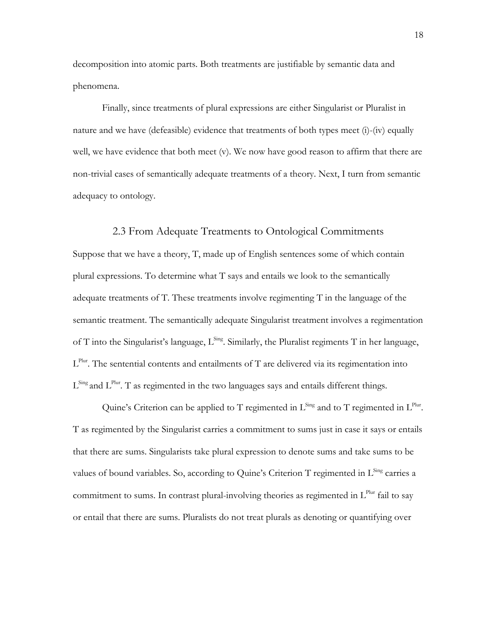decomposition into atomic parts. Both treatments are justifiable by semantic data and phenomena.

Finally, since treatments of plural expressions are either Singularist or Pluralist in nature and we have (defeasible) evidence that treatments of both types meet (i)-(iv) equally well, we have evidence that both meet (v). We now have good reason to affirm that there are non-trivial cases of semantically adequate treatments of a theory. Next, I turn from semantic adequacy to ontology.

#### 2.3 From Adequate Treatments to Ontological Commitments

Suppose that we have a theory, T, made up of English sentences some of which contain plural expressions. To determine what T says and entails we look to the semantically adequate treatments of T. These treatments involve regimenting T in the language of the semantic treatment. The semantically adequate Singularist treatment involves a regimentation of T into the Singularist's language,  $L^{\text{Sing}}$ . Similarly, the Pluralist regiments T in her language,  $L^{Plur}$ . The sentential contents and entailments of T are delivered via its regimentation into  $L^{\text{Sing}}$  and  $L^{\text{Plur}}$ . T as regimented in the two languages says and entails different things.

Quine's Criterion can be applied to T regimented in  $L^{Sing}$  and to T regimented in  $L^{Plur}$ . T as regimented by the Singularist carries a commitment to sums just in case it says or entails that there are sums. Singularists take plural expression to denote sums and take sums to be values of bound variables. So, according to Quine's Criterion T regimented in  $L^{\text{Sing}}$  carries a commitment to sums. In contrast plural-involving theories as regimented in  $L^{Plur}$  fail to say or entail that there are sums. Pluralists do not treat plurals as denoting or quantifying over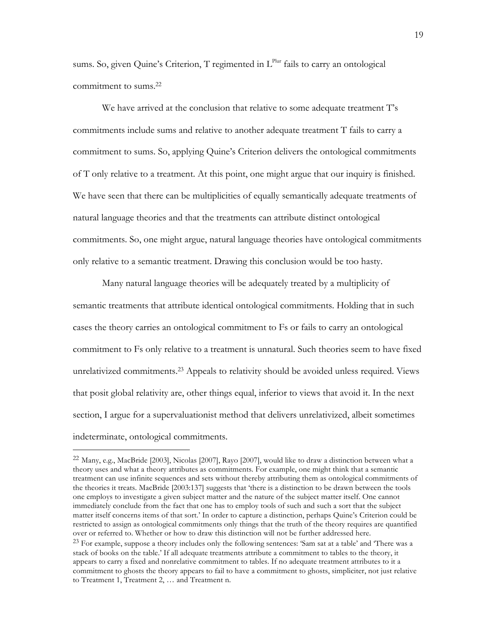sums. So, given Quine's Criterion, T regimented in L<sup>Plur</sup> fails to carry an ontological commitment to sums. 22

We have arrived at the conclusion that relative to some adequate treatment T's commitments include sums and relative to another adequate treatment T fails to carry a commitment to sums. So, applying Quine's Criterion delivers the ontological commitments of T only relative to a treatment. At this point, one might argue that our inquiry is finished. We have seen that there can be multiplicities of equally semantically adequate treatments of natural language theories and that the treatments can attribute distinct ontological commitments. So, one might argue, natural language theories have ontological commitments only relative to a semantic treatment. Drawing this conclusion would be too hasty.

Many natural language theories will be adequately treated by a multiplicity of semantic treatments that attribute identical ontological commitments. Holding that in such cases the theory carries an ontological commitment to Fs or fails to carry an ontological commitment to Fs only relative to a treatment is unnatural. Such theories seem to have fixed unrelativized commitments. <sup>23</sup> Appeals to relativity should be avoided unless required. Views that posit global relativity are, other things equal, inferior to views that avoid it. In the next section, I argue for a supervaluationist method that delivers unrelativized, albeit sometimes indeterminate, ontological commitments.

 $^{22}$  Many, e.g., MacBride [2003], Nicolas [2007], Rayo [2007], would like to draw a distinction between what a theory uses and what a theory attributes as commitments. For example, one might think that a semantic treatment can use infinite sequences and sets without thereby attributing them as ontological commitments of the theories it treats. MacBride [2003:137] suggests that 'there is a distinction to be drawn between the tools one employs to investigate a given subject matter and the nature of the subject matter itself. One cannot immediately conclude from the fact that one has to employ tools of such and such a sort that the subject matter itself concerns items of that sort.' In order to capture a distinction, perhaps Quine's Criterion could be restricted to assign as ontological commitments only things that the truth of the theory requires are quantified over or referred to. Whether or how to draw this distinction will not be further addressed here. <sup>23</sup> For example, suppose a theory includes only the following sentences: 'Sam sat at a table' and 'There was a

stack of books on the table.' If all adequate treatments attribute a commitment to tables to the theory, it appears to carry a fixed and nonrelative commitment to tables. If no adequate treatment attributes to it a commitment to ghosts the theory appears to fail to have a commitment to ghosts, simpliciter, not just relative to Treatment 1, Treatment 2, … and Treatment n.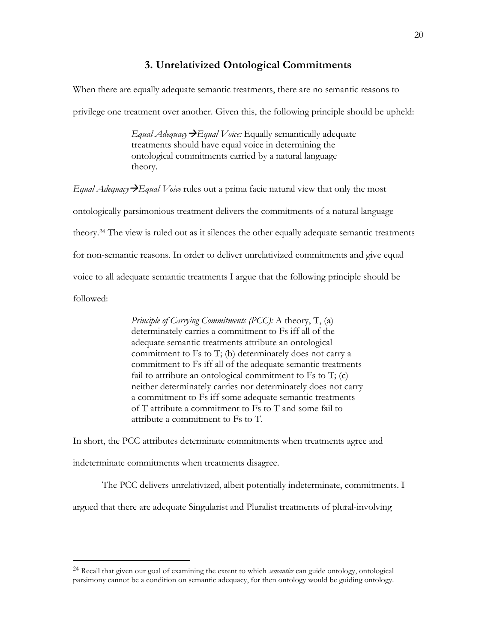#### **3. Unrelativized Ontological Commitments**

When there are equally adequate semantic treatments, there are no semantic reasons to

privilege one treatment over another. Given this, the following principle should be upheld:

*Equal Adequacy*à*Equal Voice:* Equally semantically adequate treatments should have equal voice in determining the ontological commitments carried by a natural language theory.

*Equal Adequacy*à*Equal Voice* rules out a prima facie natural view that only the most ontologically parsimonious treatment delivers the commitments of a natural language theory. <sup>24</sup> The view is ruled out as it silences the other equally adequate semantic treatments for non-semantic reasons. In order to deliver unrelativized commitments and give equal voice to all adequate semantic treatments I argue that the following principle should be followed:

> *Principle of Carrying Commitments (PCC):* A theory, T, (a) determinately carries a commitment to Fs iff all of the adequate semantic treatments attribute an ontological commitment to Fs to T; (b) determinately does not carry a commitment to Fs iff all of the adequate semantic treatments fail to attribute an ontological commitment to  $Fs$  to  $T$ ; (c) neither determinately carries nor determinately does not carry a commitment to Fs iff some adequate semantic treatments of T attribute a commitment to Fs to T and some fail to attribute a commitment to Fs to T.

In short, the PCC attributes determinate commitments when treatments agree and indeterminate commitments when treatments disagree.

The PCC delivers unrelativized, albeit potentially indeterminate, commitments. I argued that there are adequate Singularist and Pluralist treatments of plural-involving

<sup>24</sup> Recall that given our goal of examining the extent to which *semantics* can guide ontology, ontological parsimony cannot be a condition on semantic adequacy, for then ontology would be guiding ontology.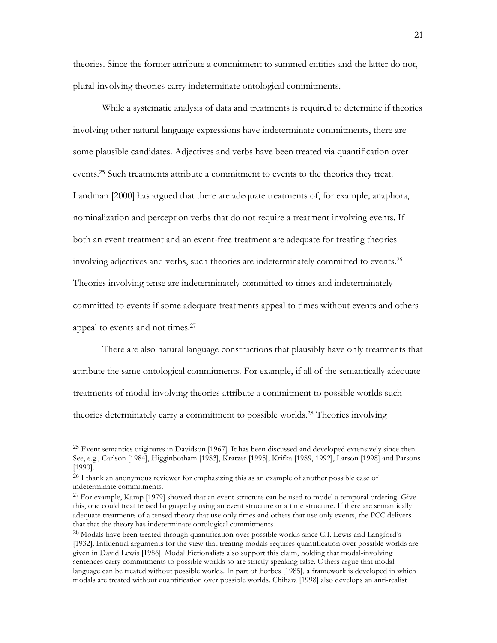theories. Since the former attribute a commitment to summed entities and the latter do not, plural-involving theories carry indeterminate ontological commitments.

While a systematic analysis of data and treatments is required to determine if theories involving other natural language expressions have indeterminate commitments, there are some plausible candidates. Adjectives and verbs have been treated via quantification over events. <sup>25</sup> Such treatments attribute a commitment to events to the theories they treat. Landman [2000] has argued that there are adequate treatments of, for example, anaphora, nominalization and perception verbs that do not require a treatment involving events. If both an event treatment and an event-free treatment are adequate for treating theories involving adjectives and verbs, such theories are indeterminately committed to events.26 Theories involving tense are indeterminately committed to times and indeterminately committed to events if some adequate treatments appeal to times without events and others appeal to events and not times.27

There are also natural language constructions that plausibly have only treatments that attribute the same ontological commitments. For example, if all of the semantically adequate treatments of modal-involving theories attribute a commitment to possible worlds such theories determinately carry a commitment to possible worlds. <sup>28</sup> Theories involving

<sup>&</sup>lt;sup>25</sup> Event semantics originates in Davidson [1967]. It has been discussed and developed extensively since then. See, e.g., Carlson [1984], Higginbotham [1983], Kratzer [1995], Krifka [1989, 1992], Larson [1998] and Parsons [1990].

<sup>&</sup>lt;sup>26</sup> I thank an anonymous reviewer for emphasizing this as an example of another possible case of indeterminate commitments.

<sup>&</sup>lt;sup>27</sup> For example, Kamp [1979] showed that an event structure can be used to model a temporal ordering. Give this, one could treat tensed language by using an event structure or a time structure. If there are semantically adequate treatments of a tensed theory that use only times and others that use only events, the PCC delivers that that the theory has indeterminate ontological commitments.

<sup>28</sup> Modals have been treated through quantification over possible worlds since C.I. Lewis and Langford's [1932]. Influential arguments for the view that treating modals requires quantification over possible worlds are given in David Lewis [1986]. Modal Fictionalists also support this claim, holding that modal-involving sentences carry commitments to possible worlds so are strictly speaking false. Others argue that modal language can be treated without possible worlds. In part of Forbes [1985], a framework is developed in which modals are treated without quantification over possible worlds. Chihara [1998] also develops an anti-realist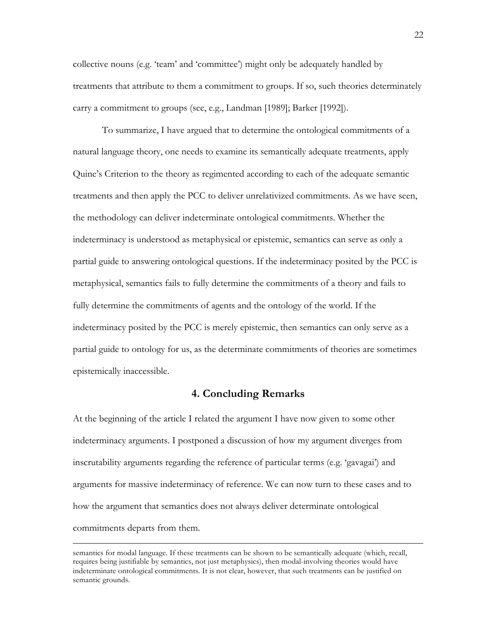collective nouns (e.g. 'team' and 'committee') might only be adequately handled by treatments that attribute to them a commitment to groups. If so, such theories determinately carry a commitment to groups (see, e.g., Landman [1989]; Barker [1992]).

To summarize, I have argued that to determine the ontological commitments of a natural language theory, one needs to examine its semantically adequate treatments, apply Quine's Criterion to the theory as regimented according to each of the adequate semantic treatments and then apply the PCC to deliver unrelativized commitments. As we have seen, the methodology can deliver indeterminate ontological commitments. Whether the indeterminacy is understood as metaphysical or epistemic, semantics can serve as only a partial guide to answering ontological questions. If the indeterminacy posited by the PCC is metaphysical, semantics fails to fully determine the commitments of a theory and fails to fully determine the commitments of agents and the ontology of the world. If the indeterminacy posited by the PCC is merely epistemic, then semantics can only serve as a partial guide to ontology for us, as the determinate commitments of theories are sometimes epistemically inaccessible.

### **4. Concluding Remarks**

At the beginning of the article I related the argument I have now given to some other indeterminacy arguments. I postponed a discussion of how my argument diverges from inscrutability arguments regarding the reference of particular terms (e.g. 'gavagai') and arguments for massive indeterminacy of reference. We can now turn to these cases and to how the argument that semantics does not always deliver determinate ontological commitments departs from them.

-

semantics for modal language. If these treatments can be shown to be semantically adequate (which, recall, requires being justifiable by semantics, not just metaphysics), then modal-involving theories would have indeterminate ontological commitments. It is not clear, however, that such treatments can be justified on semantic grounds.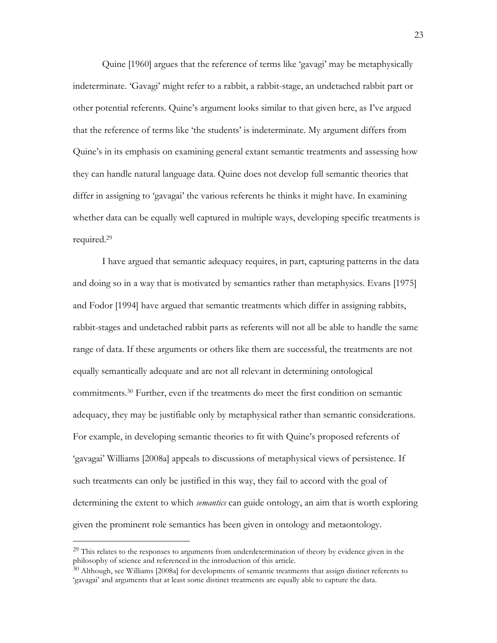Quine [1960] argues that the reference of terms like 'gavagi' may be metaphysically indeterminate. 'Gavagi' might refer to a rabbit, a rabbit-stage, an undetached rabbit part or other potential referents. Quine's argument looks similar to that given here, as I've argued that the reference of terms like 'the students' is indeterminate. My argument differs from Quine's in its emphasis on examining general extant semantic treatments and assessing how they can handle natural language data. Quine does not develop full semantic theories that differ in assigning to 'gavagai' the various referents he thinks it might have. In examining whether data can be equally well captured in multiple ways, developing specific treatments is required.29

I have argued that semantic adequacy requires, in part, capturing patterns in the data and doing so in a way that is motivated by semantics rather than metaphysics. Evans [1975] and Fodor [1994] have argued that semantic treatments which differ in assigning rabbits, rabbit-stages and undetached rabbit parts as referents will not all be able to handle the same range of data. If these arguments or others like them are successful, the treatments are not equally semantically adequate and are not all relevant in determining ontological commitments. <sup>30</sup> Further, even if the treatments do meet the first condition on semantic adequacy, they may be justifiable only by metaphysical rather than semantic considerations. For example, in developing semantic theories to fit with Quine's proposed referents of 'gavagai' Williams [2008a] appeals to discussions of metaphysical views of persistence. If such treatments can only be justified in this way, they fail to accord with the goal of determining the extent to which *semantics* can guide ontology, an aim that is worth exploring given the prominent role semantics has been given in ontology and metaontology.

 $29$  This relates to the responses to arguments from underdetermination of theory by evidence given in the philosophy of science and referenced in the introduction of this article.

 $30$  Although, see Williams [2008a] for developments of semantic treatments that assign distinct referents to 'gavagai' and arguments that at least some distinct treatments are equally able to capture the data.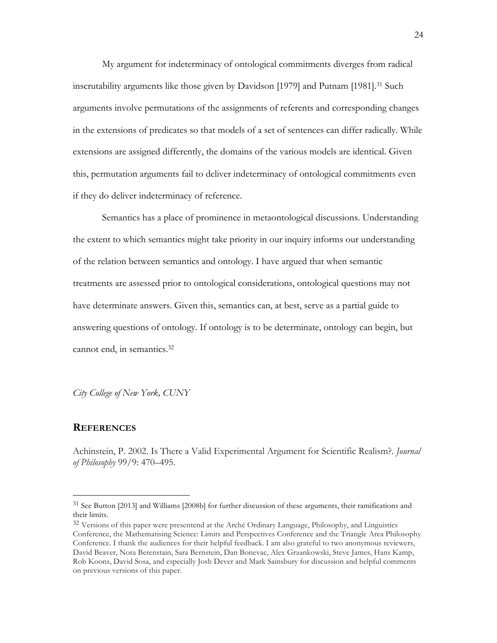My argument for indeterminacy of ontological commitments diverges from radical inscrutability arguments like those given by Davidson [1979] and Putnam [1981]. <sup>31</sup> Such arguments involve permutations of the assignments of referents and corresponding changes in the extensions of predicates so that models of a set of sentences can differ radically. While extensions are assigned differently, the domains of the various models are identical. Given this, permutation arguments fail to deliver indeterminacy of ontological commitments even if they do deliver indeterminacy of reference.

Semantics has a place of prominence in metaontological discussions. Understanding the extent to which semantics might take priority in our inquiry informs our understanding of the relation between semantics and ontology. I have argued that when semantic treatments are assessed prior to ontological considerations, ontological questions may not have determinate answers. Given this, semantics can, at best, serve as a partial guide to answering questions of ontology. If ontology is to be determinate, ontology can begin, but cannot end, in semantics.32

*City College of New York, CUNY*

### **REFERENCES**

 $\overline{a}$ 

Achinstein, P. 2002. Is There a Valid Experimental Argument for Scientific Realism?. *Journal of Philosophy* 99/9: 470–495.

<sup>31</sup> See Button [2013] and Williams [2008b] for further discussion of these arguments, their ramifications and their limits.

<sup>&</sup>lt;sup>32</sup> Versions of this paper were presentend at the Arché Ordinary Language, Philosophy, and Linguistics Conference, the Mathematising Science: Limits and Perspectives Conference and the Triangle Area Philosophy Conference. I thank the audiences for their helpful feedback. I am also grateful to two anonymous reviewers, David Beaver, Nora Berenstain, Sara Bernstein, Dan Bonevac, Alex Grzankowski, Steve James, Hans Kamp, Rob Koons, David Sosa, and especially Josh Dever and Mark Sainsbury for discussion and helpful comments on previous versions of this paper.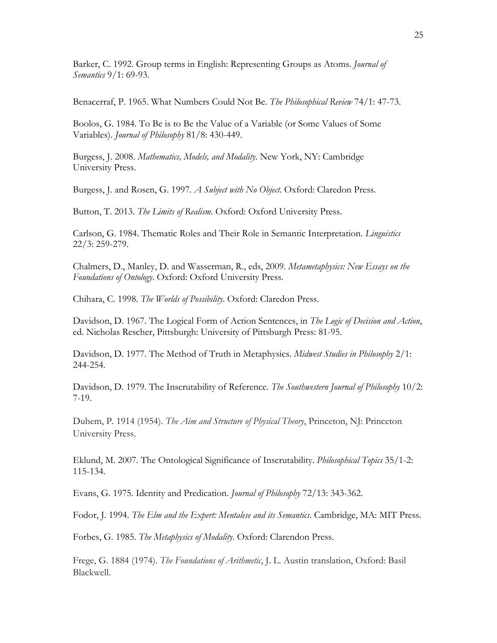Barker, C. 1992. Group terms in English: Representing Groups as Atoms. *Journal of Semantics* 9/1: 69-93.

Benacerraf, P. 1965. What Numbers Could Not Be. *The Philosophical Review* 74/1: 47-73.

Boolos, G. 1984. To Be is to Be the Value of a Variable (or Some Values of Some Variables). *Journal of Philosophy* 81/8: 430-449.

Burgess, J. 2008. *Mathematics, Models, and Modality*. New York, NY: Cambridge University Press.

Burgess, J. and Rosen, G. 1997. *A Subject with No Object*. Oxford: Claredon Press.

Button, T. 2013. *The Limits of Realism*. Oxford: Oxford University Press.

Carlson, G. 1984. Thematic Roles and Their Role in Semantic Interpretation. *Linguistics* 22/3: 259-279.

Chalmers, D., Manley, D. and Wasserman, R., eds, 2009. *Metametaphysics: New Essays on the Foundations of Ontology*. Oxford: Oxford University Press.

Chihara, C. 1998. *The Worlds of Possibility*. Oxford: Claredon Press.

Davidson, D. 1967. The Logical Form of Action Sentences, in *The Logic of Decision and Action*, ed. Nicholas Rescher, Pittsburgh: University of Pittsburgh Press: 81-95.

Davidson, D. 1977. The Method of Truth in Metaphysics. *Midwest Studies in Philosophy* 2/1: 244-254.

Davidson, D. 1979. The Inscrutability of Reference. *The Southwestern Journal of Philosophy* 10/2: 7-19.

Duhem, P. 1914 (1954). *The Aim and Structure of Physical Theory*, Princeton, NJ: Princeton University Press.

Eklund, M. 2007. The Ontological Significance of Inscrutability. *Philosophical Topics* 35/1-2: 115-134.

Evans, G. 1975. Identity and Predication. *Journal of Philosophy* 72/13: 343-362.

Fodor, J. 1994. *The Elm and the Expert: Mentalese and its Semantics*. Cambridge, MA: MIT Press.

Forbes, G. 1985. *The Metaphysics of Modality*. Oxford: Clarendon Press.

Frege, G. 1884 (1974). *The Foundations of Arithmetic*, J. L. Austin translation, Oxford: Basil Blackwell.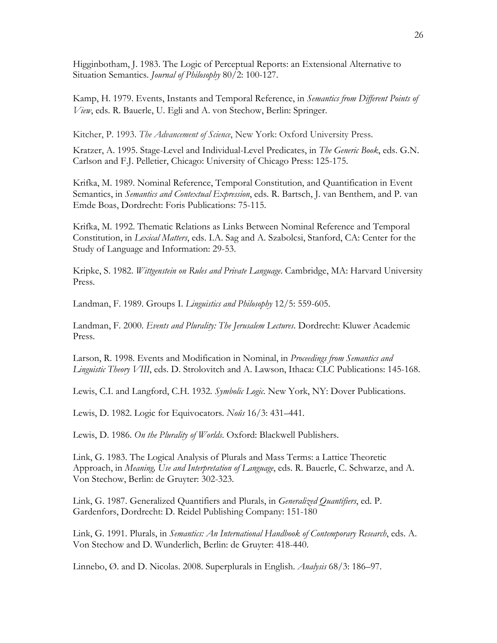Higginbotham, J. 1983. The Logic of Perceptual Reports: an Extensional Alternative to Situation Semantics. *Journal of Philosophy* 80/2: 100-127.

Kamp, H. 1979. Events, Instants and Temporal Reference, in *Semantics from Different Points of View*, eds. R. Bauerle, U. Egli and A. von Stechow, Berlin: Springer.

Kitcher, P. 1993. *The Advancement of Science*, New York: Oxford University Press.

Kratzer, A. 1995. Stage-Level and Individual-Level Predicates, in *The Generic Book*, eds. G.N. Carlson and F.J. Pelletier, Chicago: University of Chicago Press: 125-175.

Krifka, M. 1989. Nominal Reference, Temporal Constitution, and Quantification in Event Semantics, in *Semantics and Contextual Expression*, eds. R. Bartsch, J. van Benthem, and P. van Emde Boas, Dordrecht: Foris Publications: 75-115.

Krifka, M. 1992. Thematic Relations as Links Between Nominal Reference and Temporal Constitution, in *Lexical Matters*, eds. I.A. Sag and A. Szabolcsi, Stanford, CA: Center for the Study of Language and Information: 29-53.

Kripke, S. 1982. *Wittgenstein on Rules and Private Language*. Cambridge, MA: Harvard University Press.

Landman, F. 1989. Groups I. *Linguistics and Philosophy* 12/5: 559-605.

Landman, F. 2000. *Events and Plurality: The Jerusalem Lectures*. Dordrecht: Kluwer Academic Press.

Larson, R. 1998. Events and Modification in Nominal, in *Proceedings from Semantics and Linguistic Theory VIII*, eds. D. Strolovitch and A. Lawson, Ithaca: CLC Publications: 145-168.

Lewis, C.I. and Langford, C.H. 1932. *Symbolic Logic.* New York, NY: Dover Publications.

Lewis, D. 1982. Logic for Equivocators. *Noûs* 16/3: 431–441.

Lewis, D. 1986. *On the Plurality of Worlds*. Oxford: Blackwell Publishers.

Link, G. 1983. The Logical Analysis of Plurals and Mass Terms: a Lattice Theoretic Approach, in *Meaning, Use and Interpretation of Language*, eds. R. Bauerle, C. Schwarze, and A. Von Stechow, Berlin: de Gruyter: 302-323.

Link, G. 1987. Generalized Quantifiers and Plurals, in *Generalized Quantifiers*, ed. P. Gardenfors, Dordrecht: D. Reidel Publishing Company: 151-180

Link, G. 1991. Plurals, in *Semantics: An International Handbook of Contemporary Research*, eds. A. Von Stechow and D. Wunderlich, Berlin: de Gruyter: 418-440.

Linnebo, Ø. and D. Nicolas. 2008. Superplurals in English. *Analysis* 68/3: 186–97.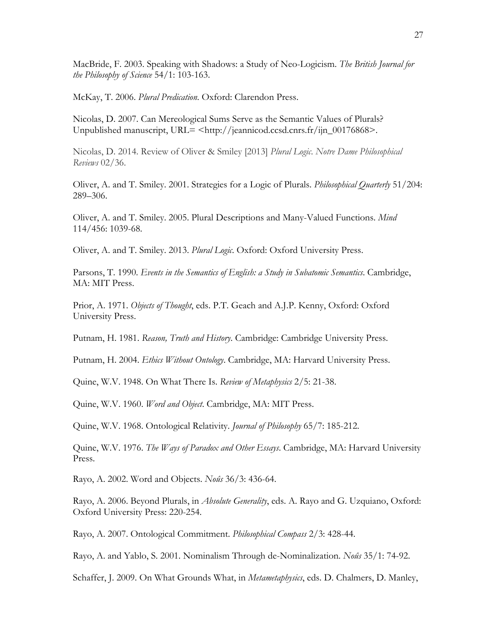MacBride, F. 2003. Speaking with Shadows: a Study of Neo-Logicism. *The British Journal for the Philosophy of Science* 54/1: 103-163.

McKay, T. 2006. *Plural Predication*. Oxford: Clarendon Press.

Nicolas, D. 2007. Can Mereological Sums Serve as the Semantic Values of Plurals? Unpublished manuscript, URL= <http://jeannicod.ccsd.cnrs.fr/ijn\_00176868>.

Nicolas, D. 2014. Review of Oliver & Smiley [2013] *Plural Logic*. *Notre Dame Philosophical Reviews* 02/36.

Oliver, A. and T. Smiley. 2001. Strategies for a Logic of Plurals. *Philosophical Quarterly* 51/204: 289–306.

Oliver, A. and T. Smiley. 2005. Plural Descriptions and Many-Valued Functions. *Mind* 114/456: 1039-68.

Oliver, A. and T. Smiley. 2013. *Plural Logic*. Oxford: Oxford University Press.

Parsons, T. 1990. *Events in the Semantics of English: a Study in Subatomic Semantics*. Cambridge, MA: MIT Press.

Prior, A. 1971. *Objects of Thought*, eds. P.T. Geach and A.J.P. Kenny, Oxford: Oxford University Press.

Putnam, H. 1981. *Reason, Truth and History*. Cambridge: Cambridge University Press.

Putnam, H. 2004. *Ethics Without Ontology*. Cambridge, MA: Harvard University Press.

Quine, W.V. 1948. On What There Is. *Review of Metaphysics* 2/5: 21-38.

Quine, W.V. 1960. *Word and Object*. Cambridge, MA: MIT Press.

Quine, W.V. 1968. Ontological Relativity. *Journal of Philosophy* 65/7: 185-212.

Quine, W.V. 1976. *The Ways of Paradox and Other Essays*. Cambridge, MA: Harvard University Press.

Rayo, A. 2002. Word and Objects. *Noûs* 36/3: 436-64.

Rayo, A. 2006. Beyond Plurals, in *Absolute Generality*, eds. A. Rayo and G. Uzquiano, Oxford: Oxford University Press: 220-254.

Rayo, A. 2007. Ontological Commitment. *Philosophical Compass* 2/3: 428-44.

Rayo, A. and Yablo, S. 2001. Nominalism Through de-Nominalization. *Noûs* 35/1: 74-92.

Schaffer, J. 2009. On What Grounds What, in *Metametaphysics*, eds. D. Chalmers, D. Manley,